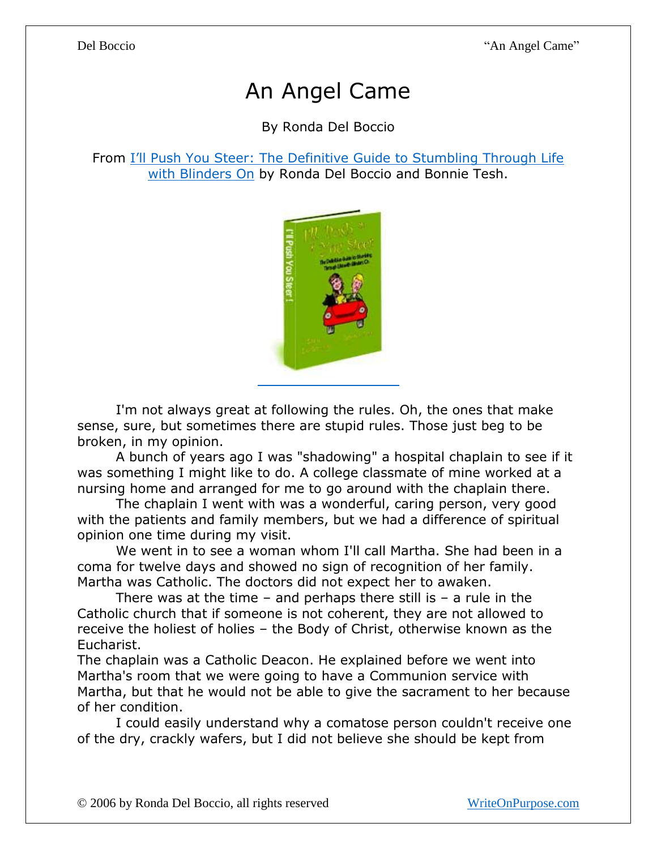## An Angel Came

By Ronda Del Boccio

## From I'll P[ush You Steer: The Definitive Guide to Stumbling Through Life](http://writeonpurpose.com/amazon)  [with Blinders On](http://writeonpurpose.com/amazon) by Ronda Del Boccio and Bonnie Tesh.



I'm not always great at following the rules. Oh, the ones that make sense, sure, but sometimes there are stupid rules. Those just beg to be broken, in my opinion.

A bunch of years ago I was "shadowing" a hospital chaplain to see if it was something I might like to do. A college classmate of mine worked at a nursing home and arranged for me to go around with the chaplain there.

The chaplain I went with was a wonderful, caring person, very good with the patients and family members, but we had a difference of spiritual opinion one time during my visit.

We went in to see a woman whom I'll call Martha. She had been in a coma for twelve days and showed no sign of recognition of her family. Martha was Catholic. The doctors did not expect her to awaken.

There was at the time  $-$  and perhaps there still is  $-$  a rule in the Catholic church that if someone is not coherent, they are not allowed to receive the holiest of holies – the Body of Christ, otherwise known as the Eucharist.

The chaplain was a Catholic Deacon. He explained before we went into Martha's room that we were going to have a Communion service with Martha, but that he would not be able to give the sacrament to her because of her condition.

I could easily understand why a comatose person couldn't receive one of the dry, crackly wafers, but I did not believe she should be kept from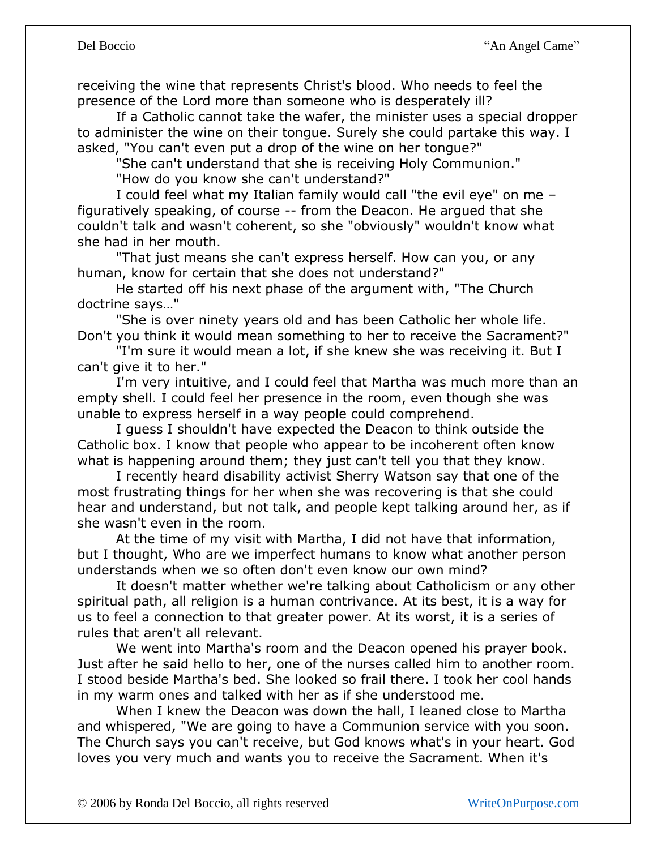receiving the wine that represents Christ's blood. Who needs to feel the presence of the Lord more than someone who is desperately ill?

If a Catholic cannot take the wafer, the minister uses a special dropper to administer the wine on their tongue. Surely she could partake this way. I asked, "You can't even put a drop of the wine on her tongue?"

"She can't understand that she is receiving Holy Communion."

"How do you know she can't understand?"

I could feel what my Italian family would call "the evil eye" on me – figuratively speaking, of course -- from the Deacon. He argued that she couldn't talk and wasn't coherent, so she "obviously" wouldn't know what she had in her mouth.

"That just means she can't express herself. How can you, or any human, know for certain that she does not understand?"

He started off his next phase of the argument with, "The Church doctrine says…"

"She is over ninety years old and has been Catholic her whole life. Don't you think it would mean something to her to receive the Sacrament?"

"I'm sure it would mean a lot, if she knew she was receiving it. But I can't give it to her."

I'm very intuitive, and I could feel that Martha was much more than an empty shell. I could feel her presence in the room, even though she was unable to express herself in a way people could comprehend.

I guess I shouldn't have expected the Deacon to think outside the Catholic box. I know that people who appear to be incoherent often know what is happening around them; they just can't tell you that they know.

I recently heard disability activist Sherry Watson say that one of the most frustrating things for her when she was recovering is that she could hear and understand, but not talk, and people kept talking around her, as if she wasn't even in the room.

At the time of my visit with Martha, I did not have that information, but I thought, Who are we imperfect humans to know what another person understands when we so often don't even know our own mind?

It doesn't matter whether we're talking about Catholicism or any other spiritual path, all religion is a human contrivance. At its best, it is a way for us to feel a connection to that greater power. At its worst, it is a series of rules that aren't all relevant.

We went into Martha's room and the Deacon opened his prayer book. Just after he said hello to her, one of the nurses called him to another room. I stood beside Martha's bed. She looked so frail there. I took her cool hands in my warm ones and talked with her as if she understood me.

When I knew the Deacon was down the hall, I leaned close to Martha and whispered, "We are going to have a Communion service with you soon. The Church says you can't receive, but God knows what's in your heart. God loves you very much and wants you to receive the Sacrament. When it's